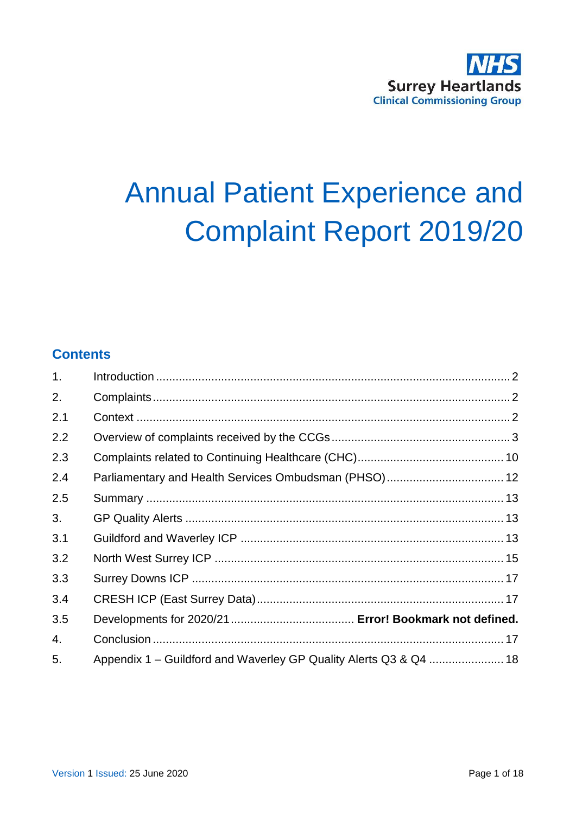# **Annual Patient Experience and Complaint Report 2019/20**

# **Contents**

| 1 <sub>1</sub> |                                                                   |
|----------------|-------------------------------------------------------------------|
| 2.             |                                                                   |
| 2.1            |                                                                   |
| 2.2            |                                                                   |
| 2.3            |                                                                   |
| 2.4            | Parliamentary and Health Services Ombudsman (PHSO) 12             |
| 2.5            |                                                                   |
| 3.             |                                                                   |
| 3.1            |                                                                   |
| 3.2            |                                                                   |
| 3.3            |                                                                   |
| 3.4            |                                                                   |
| 3.5            |                                                                   |
| 4.             |                                                                   |
| 5.             | Appendix 1 – Guildford and Waverley GP Quality Alerts Q3 & Q4  18 |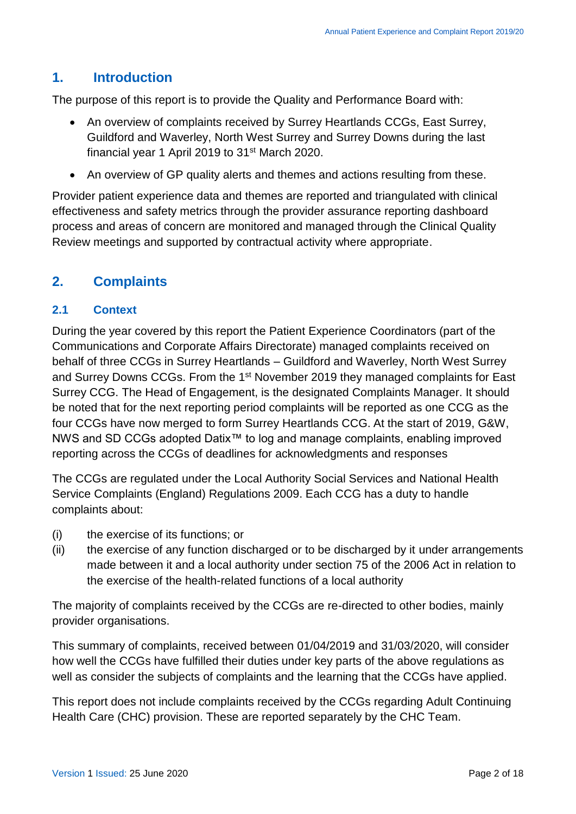# <span id="page-1-0"></span>**1. Introduction**

The purpose of this report is to provide the Quality and Performance Board with:

- An overview of complaints received by Surrey Heartlands CCGs, East Surrey, Guildford and Waverley, North West Surrey and Surrey Downs during the last financial year 1 April 2019 to 31<sup>st</sup> March 2020.
- An overview of GP quality alerts and themes and actions resulting from these.

Provider patient experience data and themes are reported and triangulated with clinical effectiveness and safety metrics through the provider assurance reporting dashboard process and areas of concern are monitored and managed through the Clinical Quality Review meetings and supported by contractual activity where appropriate.

## <span id="page-1-1"></span>**2. Complaints**

#### <span id="page-1-2"></span>**2.1 Context**

During the year covered by this report the Patient Experience Coordinators (part of the Communications and Corporate Affairs Directorate) managed complaints received on behalf of three CCGs in Surrey Heartlands – Guildford and Waverley, North West Surrey and Surrey Downs CCGs. From the 1st November 2019 they managed complaints for East Surrey CCG. The Head of Engagement, is the designated Complaints Manager. It should be noted that for the next reporting period complaints will be reported as one CCG as the four CCGs have now merged to form Surrey Heartlands CCG. At the start of 2019, G&W, NWS and SD CCGs adopted Datix™ to log and manage complaints, enabling improved reporting across the CCGs of deadlines for acknowledgments and responses

The CCGs are regulated under the Local Authority Social Services and National Health Service Complaints (England) Regulations 2009. Each CCG has a duty to handle complaints about:

- (i) the exercise of its functions; or
- (ii) the exercise of any function discharged or to be discharged by it under arrangements made between it and a local authority under section 75 of the 2006 Act in relation to the exercise of the health-related functions of a local authority

The majority of complaints received by the CCGs are re-directed to other bodies, mainly provider organisations.

This summary of complaints, received between 01/04/2019 and 31/03/2020, will consider how well the CCGs have fulfilled their duties under key parts of the above regulations as well as consider the subjects of complaints and the learning that the CCGs have applied.

This report does not include complaints received by the CCGs regarding Adult Continuing Health Care (CHC) provision. These are reported separately by the CHC Team.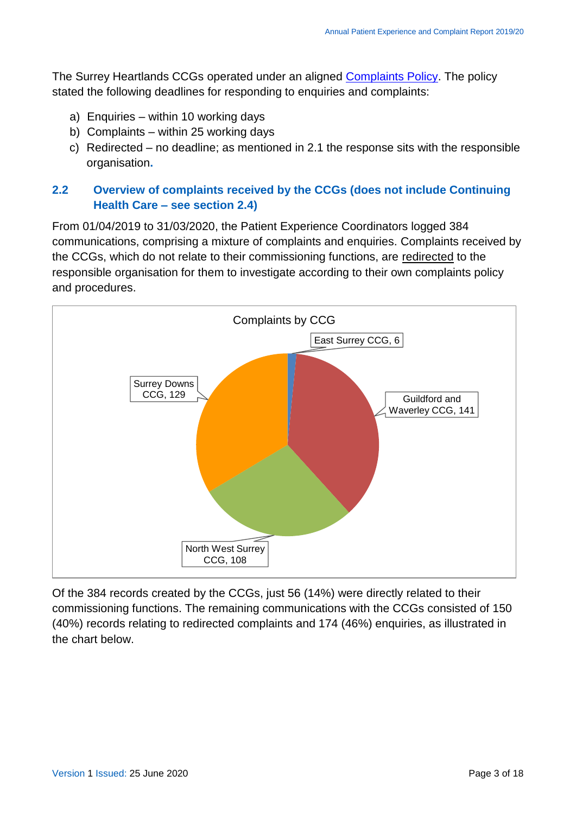The Surrey Heartlands CCGs operated under an aligned [Complaints Policy.](http://nww.guildfordandwaverleyccg.nhs.uk/corporate/FormsTemp/Pages/default.aspx?idU=1) The policy stated the following deadlines for responding to enquiries and complaints:

- a) Enquiries within 10 working days
- b) Complaints within 25 working days
- c) Redirected no deadline; as mentioned in 2.1 the response sits with the responsible organisation**.**

### <span id="page-2-0"></span>**2.2 Overview of complaints received by the CCGs (does not include Continuing Health Care – see section 2.4)**

From 01/04/2019 to 31/03/2020, the Patient Experience Coordinators logged 384 communications, comprising a mixture of complaints and enquiries. Complaints received by the CCGs, which do not relate to their commissioning functions, are redirected to the responsible organisation for them to investigate according to their own complaints policy and procedures.



Of the 384 records created by the CCGs, just 56 (14%) were directly related to their commissioning functions. The remaining communications with the CCGs consisted of 150 (40%) records relating to redirected complaints and 174 (46%) enquiries, as illustrated in the chart below.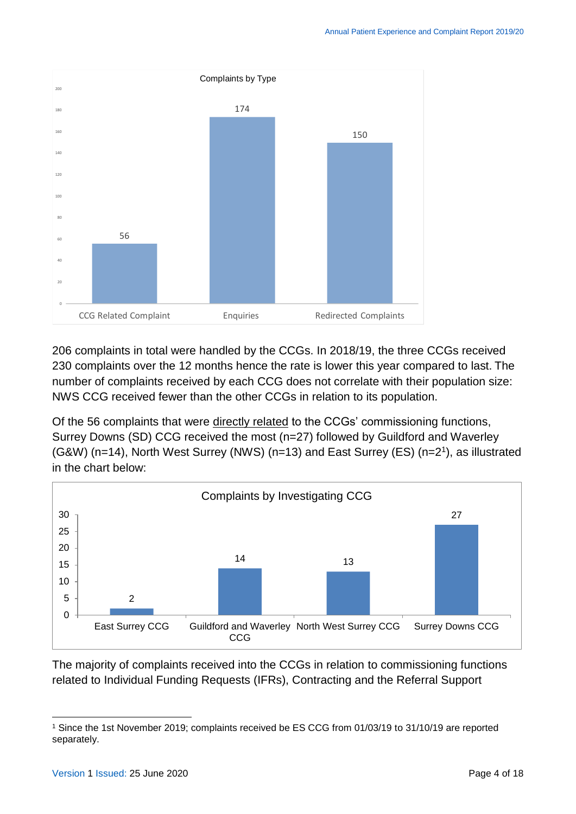

206 complaints in total were handled by the CCGs. In 2018/19, the three CCGs received 230 complaints over the 12 months hence the rate is lower this year compared to last. The number of complaints received by each CCG does not correlate with their population size: NWS CCG received fewer than the other CCGs in relation to its population.

Of the 56 complaints that were directly related to the CCGs' commissioning functions, Surrey Downs (SD) CCG received the most (n=27) followed by Guildford and Waverley (G&W) (n=14), North West Surrey (NWS) (n=13) and East Surrey (ES) (n=2<sup>1</sup> ), as illustrated in the chart below:



The majority of complaints received into the CCGs in relation to commissioning functions related to Individual Funding Requests (IFRs), Contracting and the Referral Support

<sup>1</sup> <sup>1</sup> Since the 1st November 2019; complaints received be ES CCG from 01/03/19 to 31/10/19 are reported separately.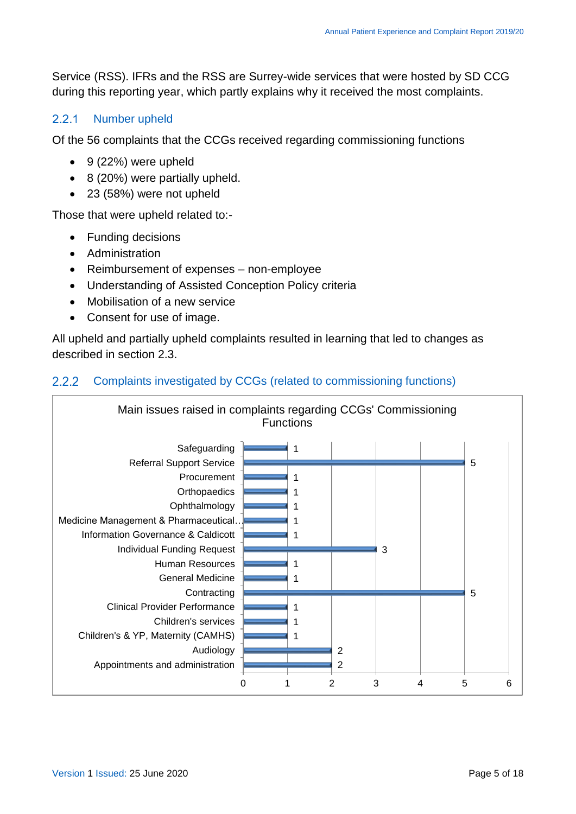Service (RSS). IFRs and the RSS are Surrey-wide services that were hosted by SD CCG during this reporting year, which partly explains why it received the most complaints.

#### $2.2.1$ Number upheld

Of the 56 complaints that the CCGs received regarding commissioning functions

- $\bullet$  9 (22%) were upheld
- 8 (20%) were partially upheld.
- 23 (58%) were not upheld

Those that were upheld related to:-

- Funding decisions
- Administration
- Reimbursement of expenses non-employee
- Understanding of Assisted Conception Policy criteria
- Mobilisation of a new service
- Consent for use of image.

All upheld and partially upheld complaints resulted in learning that led to changes as described in section 2.3.

#### Complaints investigated by CCGs (related to commissioning functions)  $2.2.2$

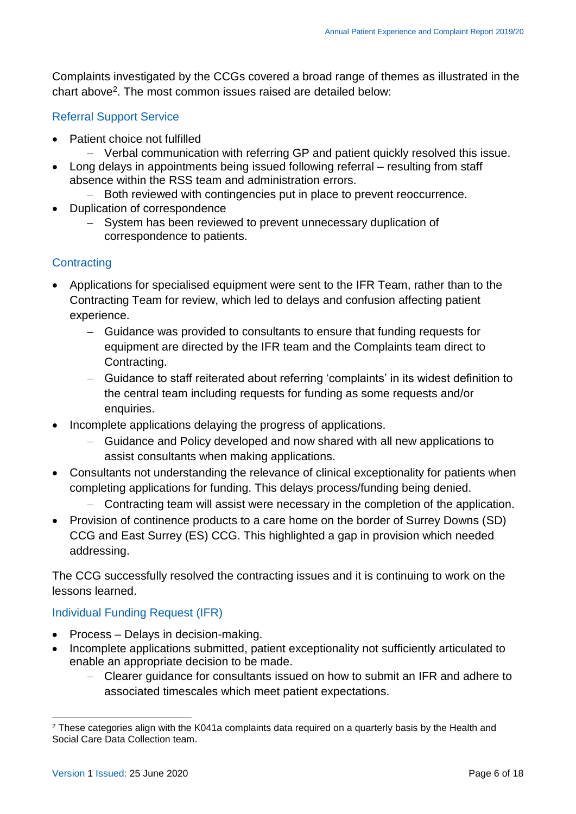Complaints investigated by the CCGs covered a broad range of themes as illustrated in the chart above<sup>2</sup>. The most common issues raised are detailed below:

### Referral Support Service

- Patient choice not fulfilled
	- Verbal communication with referring GP and patient quickly resolved this issue.
- Long delays in appointments being issued following referral resulting from staff absence within the RSS team and administration errors.
	- Both reviewed with contingencies put in place to prevent reoccurrence.
- Duplication of correspondence
	- System has been reviewed to prevent unnecessary duplication of correspondence to patients.

### **Contracting**

- Applications for specialised equipment were sent to the IFR Team, rather than to the Contracting Team for review, which led to delays and confusion affecting patient experience.
	- Guidance was provided to consultants to ensure that funding requests for equipment are directed by the IFR team and the Complaints team direct to Contracting.
	- Guidance to staff reiterated about referring 'complaints' in its widest definition to the central team including requests for funding as some requests and/or enquiries.
- Incomplete applications delaying the progress of applications.
	- Guidance and Policy developed and now shared with all new applications to assist consultants when making applications.
- Consultants not understanding the relevance of clinical exceptionality for patients when completing applications for funding. This delays process/funding being denied.
	- Contracting team will assist were necessary in the completion of the application.
- Provision of continence products to a care home on the border of Surrey Downs (SD) CCG and East Surrey (ES) CCG. This highlighted a gap in provision which needed addressing.

The CCG successfully resolved the contracting issues and it is continuing to work on the lessons learned.

### Individual Funding Request (IFR)

- Process Delays in decision-making.
- Incomplete applications submitted, patient exceptionality not sufficiently articulated to enable an appropriate decision to be made.
	- Clearer guidance for consultants issued on how to submit an IFR and adhere to associated timescales which meet patient expectations.

1

<sup>&</sup>lt;sup>2</sup> These categories align with the K041a complaints data required on a quarterly basis by the Health and Social Care Data Collection team.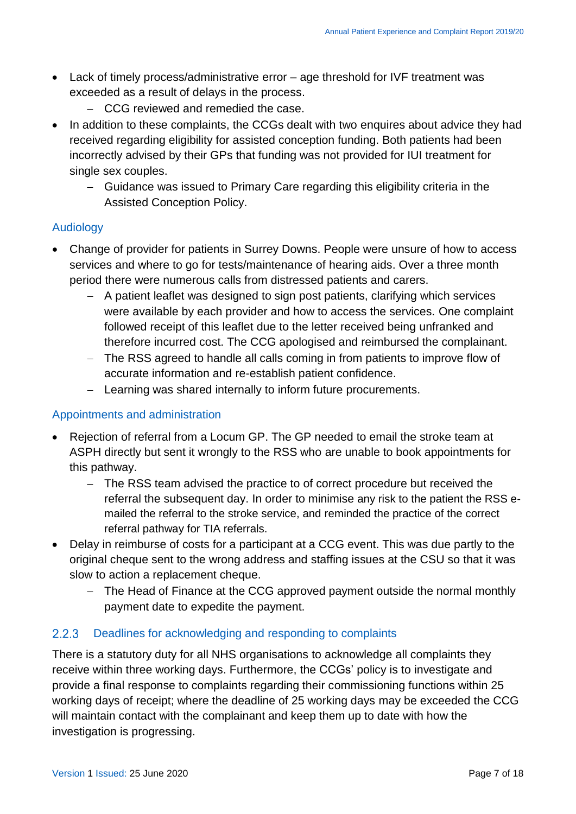- Lack of timely process/administrative error age threshold for IVF treatment was exceeded as a result of delays in the process.
	- CCG reviewed and remedied the case.
- In addition to these complaints, the CCGs dealt with two enquires about advice they had received regarding eligibility for assisted conception funding. Both patients had been incorrectly advised by their GPs that funding was not provided for IUI treatment for single sex couples.
	- Guidance was issued to Primary Care regarding this eligibility criteria in the Assisted Conception Policy.

#### Audiology

- Change of provider for patients in Surrey Downs. People were unsure of how to access services and where to go for tests/maintenance of hearing aids. Over a three month period there were numerous calls from distressed patients and carers.
	- A patient leaflet was designed to sign post patients, clarifying which services were available by each provider and how to access the services. One complaint followed receipt of this leaflet due to the letter received being unfranked and therefore incurred cost. The CCG apologised and reimbursed the complainant.
	- The RSS agreed to handle all calls coming in from patients to improve flow of accurate information and re-establish patient confidence.
	- Learning was shared internally to inform future procurements.

#### Appointments and administration

- Rejection of referral from a Locum GP. The GP needed to email the stroke team at ASPH directly but sent it wrongly to the RSS who are unable to book appointments for this pathway.
	- The RSS team advised the practice to of correct procedure but received the referral the subsequent day. In order to minimise any risk to the patient the RSS emailed the referral to the stroke service, and reminded the practice of the correct referral pathway for TIA referrals.
- Delay in reimburse of costs for a participant at a CCG event. This was due partly to the original cheque sent to the wrong address and staffing issues at the CSU so that it was slow to action a replacement cheque.
	- The Head of Finance at the CCG approved payment outside the normal monthly payment date to expedite the payment.

#### $2.2.3$ Deadlines for acknowledging and responding to complaints

There is a statutory duty for all NHS organisations to acknowledge all complaints they receive within three working days. Furthermore, the CCGs' policy is to investigate and provide a final response to complaints regarding their commissioning functions within 25 working days of receipt; where the deadline of 25 working days may be exceeded the CCG will maintain contact with the complainant and keep them up to date with how the investigation is progressing.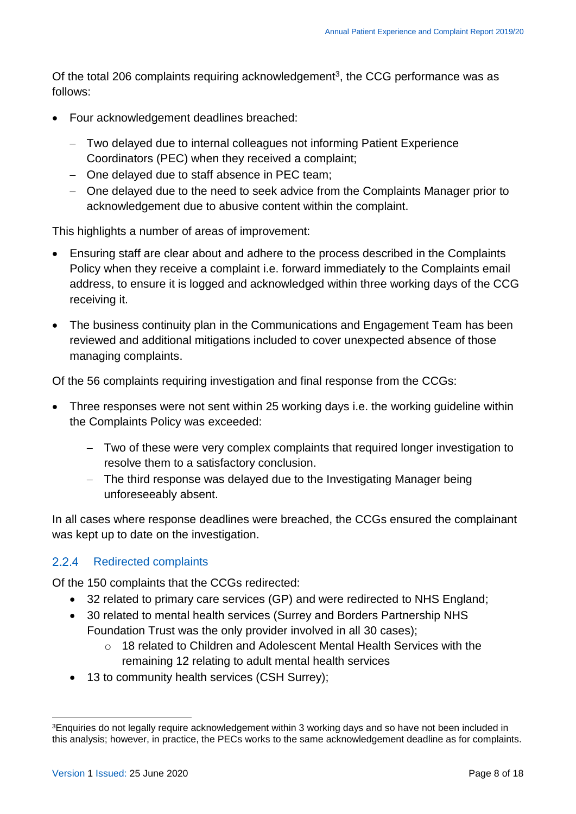Of the total 206 complaints requiring acknowledgement<sup>3</sup>, the CCG performance was as follows:

- Four acknowledgement deadlines breached:
	- Two delayed due to internal colleagues not informing Patient Experience Coordinators (PEC) when they received a complaint;
	- One delayed due to staff absence in PEC team;
	- One delayed due to the need to seek advice from the Complaints Manager prior to acknowledgement due to abusive content within the complaint.

This highlights a number of areas of improvement:

- Ensuring staff are clear about and adhere to the process described in the Complaints Policy when they receive a complaint i.e. forward immediately to the Complaints email address, to ensure it is logged and acknowledged within three working days of the CCG receiving it.
- The business continuity plan in the Communications and Engagement Team has been reviewed and additional mitigations included to cover unexpected absence of those managing complaints.

Of the 56 complaints requiring investigation and final response from the CCGs:

- Three responses were not sent within 25 working days i.e. the working guideline within the Complaints Policy was exceeded:
	- Two of these were very complex complaints that required longer investigation to resolve them to a satisfactory conclusion.
	- The third response was delayed due to the Investigating Manager being unforeseeably absent.

In all cases where response deadlines were breached, the CCGs ensured the complainant was kept up to date on the investigation.

### 2.2.4 Redirected complaints

Of the 150 complaints that the CCGs redirected:

- 32 related to primary care services (GP) and were redirected to NHS England;
- 30 related to mental health services (Surrey and Borders Partnership NHS Foundation Trust was the only provider involved in all 30 cases);
	- o 18 related to Children and Adolescent Mental Health Services with the remaining 12 relating to adult mental health services
- 13 to community health services (CSH Surrey);

1

<sup>&</sup>lt;sup>3</sup>Enquiries do not legally require acknowledgement within 3 working days and so have not been included in this analysis; however, in practice, the PECs works to the same acknowledgement deadline as for complaints.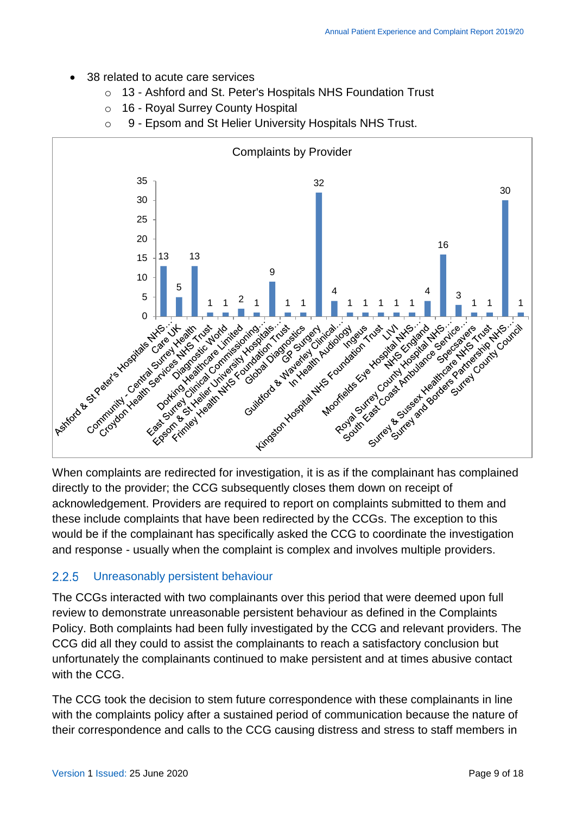- 38 related to acute care services
	- o 13 Ashford and St. Peter's Hospitals NHS Foundation Trust
	- o 16 Royal Surrey County Hospital
	- o 9 Epsom and St Helier University Hospitals NHS Trust.



When complaints are redirected for investigation, it is as if the complainant has complained directly to the provider; the CCG subsequently closes them down on receipt of acknowledgement. Providers are required to report on complaints submitted to them and these include complaints that have been redirected by the CCGs. The exception to this would be if the complainant has specifically asked the CCG to coordinate the investigation and response - usually when the complaint is complex and involves multiple providers.

#### $2.2.5$ Unreasonably persistent behaviour

The CCGs interacted with two complainants over this period that were deemed upon full review to demonstrate unreasonable persistent behaviour as defined in the Complaints Policy. Both complaints had been fully investigated by the CCG and relevant providers. The CCG did all they could to assist the complainants to reach a satisfactory conclusion but unfortunately the complainants continued to make persistent and at times abusive contact with the CCG.

The CCG took the decision to stem future correspondence with these complainants in line with the [complaints policy](https://www.surreyheartlandsccg.nhs.uk/index.php?option=com_docman&view=download&alias=115-200409-corp05-complaints-policy-v1-4&category_slug=corporate-and-governance-policies&Itemid=364) after a sustained period of communication because the nature of their correspondence and calls to the CCG causing distress and stress to staff members in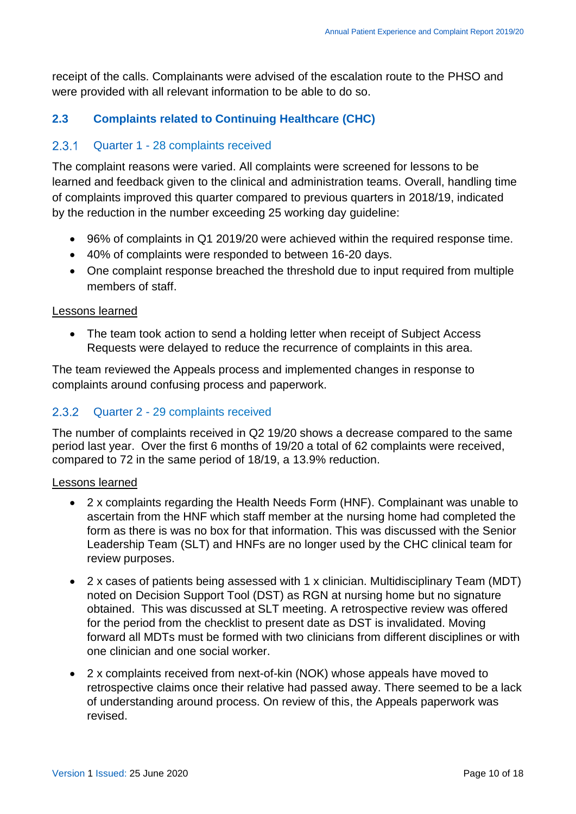receipt of the calls. Complainants were advised of the escalation route to the PHSO and were provided with all relevant information to be able to do so.

### <span id="page-9-0"></span>**2.3 Complaints related to Continuing Healthcare (CHC)**

#### $2.3.1$ Quarter 1 - 28 complaints received

The complaint reasons were varied. All complaints were screened for lessons to be learned and feedback given to the clinical and administration teams. Overall, handling time of complaints improved this quarter compared to previous quarters in 2018/19, indicated by the reduction in the number exceeding 25 working day guideline:

- 96% of complaints in Q1 2019/20 were achieved within the required response time.
- 40% of complaints were responded to between 16-20 days.
- One complaint response breached the threshold due to input required from multiple members of staff.

#### Lessons learned

• The team took action to send a holding letter when receipt of Subject Access Requests were delayed to reduce the recurrence of complaints in this area.

The team reviewed the Appeals process and implemented changes in response to complaints around confusing process and paperwork.

#### 2.3.2 Quarter 2 - 29 complaints received

The number of complaints received in Q2 19/20 shows a decrease compared to the same period last year. Over the first 6 months of 19/20 a total of 62 complaints were received, compared to 72 in the same period of 18/19, a 13.9% reduction.

#### Lessons learned

- 2 x complaints regarding the Health Needs Form (HNF). Complainant was unable to ascertain from the HNF which staff member at the nursing home had completed the form as there is was no box for that information. This was discussed with the Senior Leadership Team (SLT) and HNFs are no longer used by the CHC clinical team for review purposes.
- 2 x cases of patients being assessed with 1 x clinician. Multidisciplinary Team (MDT) noted on Decision Support Tool (DST) as RGN at nursing home but no signature obtained. This was discussed at SLT meeting. A retrospective review was offered for the period from the checklist to present date as DST is invalidated. Moving forward all MDTs must be formed with two clinicians from different disciplines or with one clinician and one social worker.
- 2 x complaints received from next-of-kin (NOK) whose appeals have moved to retrospective claims once their relative had passed away. There seemed to be a lack of understanding around process. On review of this, the Appeals paperwork was revised.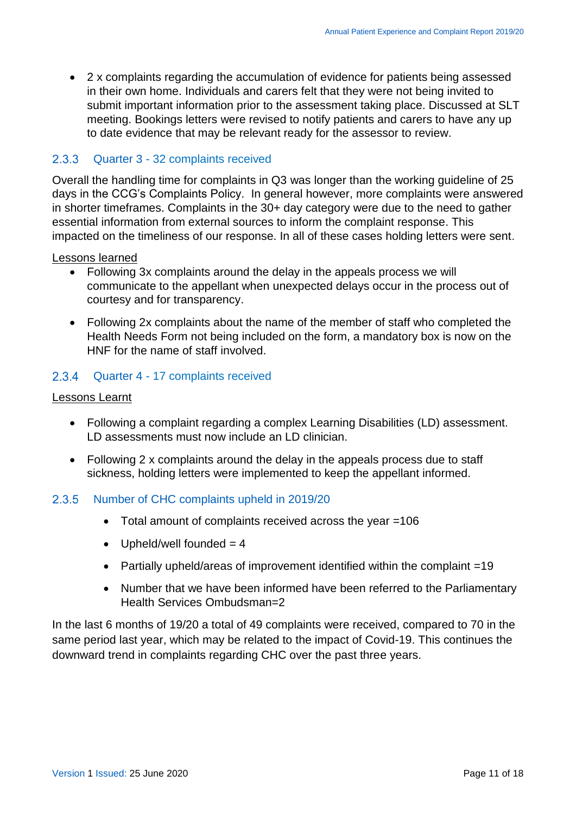2 x complaints regarding the accumulation of evidence for patients being assessed in their own home. Individuals and carers felt that they were not being invited to submit important information prior to the assessment taking place. Discussed at SLT meeting. Bookings letters were revised to notify patients and carers to have any up to date evidence that may be relevant ready for the assessor to review.

#### Quarter 3 - 32 complaints received

Overall the handling time for complaints in Q3 was longer than the working guideline of 25 days in the CCG's Complaints Policy. In general however, more complaints were answered in shorter timeframes. Complaints in the 30+ day category were due to the need to gather essential information from external sources to inform the complaint response. This impacted on the timeliness of our response. In all of these cases holding letters were sent.

#### Lessons learned

- Following 3x complaints around the delay in the appeals process we will communicate to the appellant when unexpected delays occur in the process out of courtesy and for transparency.
- Following 2x complaints about the name of the member of staff who completed the Health Needs Form not being included on the form, a mandatory box is now on the HNF for the name of staff involved.

#### 2.3.4 Quarter 4 - 17 complaints received

#### Lessons Learnt

- Following a complaint regarding a complex Learning Disabilities (LD) assessment. LD assessments must now include an LD clinician.
- Following 2 x complaints around the delay in the appeals process due to staff sickness, holding letters were implemented to keep the appellant informed.

#### 2.3.5 Number of CHC complaints upheld in 2019/20

- Total amount of complaints received across the year =106
- Upheld/well founded  $= 4$
- Partially upheld/areas of improvement identified within the complaint =19
- Number that we have been informed have been referred to the Parliamentary Health Services Ombudsman=2

In the last 6 months of 19/20 a total of 49 complaints were received, compared to 70 in the same period last year, which may be related to the impact of Covid-19. This continues the downward trend in complaints regarding CHC over the past three years.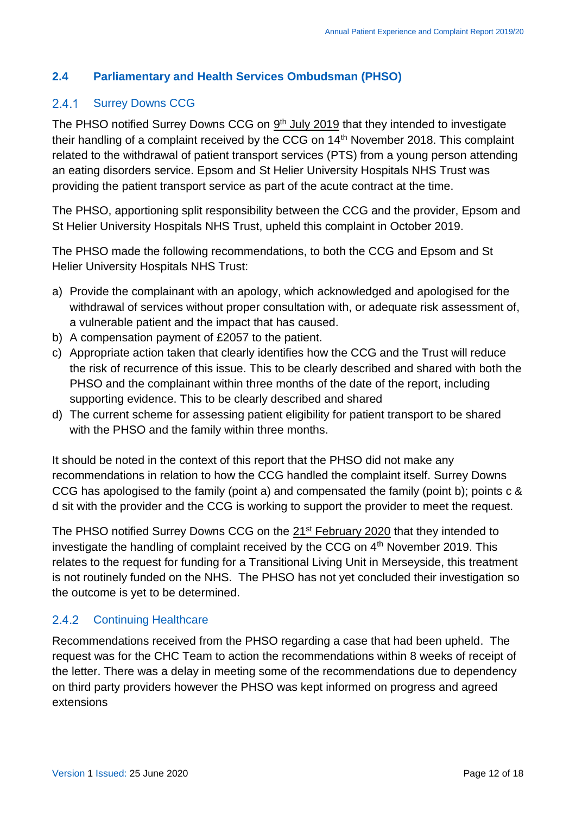### <span id="page-11-0"></span>**2.4 Parliamentary and Health Services Ombudsman (PHSO)**

#### $2.4.1$ Surrey Downs CCG

The PHSO notified Surrey Downs CCG on  $9<sup>th</sup>$  July 2019 that they intended to investigate their handling of a complaint received by the CCG on 14<sup>th</sup> November 2018. This complaint related to the withdrawal of patient transport services (PTS) from a young person attending an eating disorders service. Epsom and St Helier University Hospitals NHS Trust was providing the patient transport service as part of the acute contract at the time.

The PHSO, apportioning split responsibility between the CCG and the provider, Epsom and St Helier University Hospitals NHS Trust, upheld this complaint in October 2019.

The PHSO made the following recommendations, to both the CCG and Epsom and St Helier University Hospitals NHS Trust:

- a) Provide the complainant with an apology, which acknowledged and apologised for the withdrawal of services without proper consultation with, or adequate risk assessment of, a vulnerable patient and the impact that has caused.
- b) A compensation payment of £2057 to the patient.
- c) Appropriate action taken that clearly identifies how the CCG and the Trust will reduce the risk of recurrence of this issue. This to be clearly described and shared with both the PHSO and the complainant within three months of the date of the report, including supporting evidence. This to be clearly described and shared
- d) The current scheme for assessing patient eligibility for patient transport to be shared with the PHSO and the family within three months.

It should be noted in the context of this report that the PHSO did not make any recommendations in relation to how the CCG handled the complaint itself. Surrey Downs CCG has apologised to the family (point a) and compensated the family (point b); points c & d sit with the provider and the CCG is working to support the provider to meet the request.

The PHSO notified Surrey Downs CCG on the 21st February 2020 that they intended to investigate the handling of complaint received by the CCG on  $4<sup>th</sup>$  November 2019. This relates to the request for funding for a Transitional Living Unit in Merseyside, this treatment is not routinely funded on the NHS. The PHSO has not yet concluded their investigation so the outcome is yet to be determined.

#### $2.4.2$ Continuing Healthcare

Recommendations received from the PHSO regarding a case that had been upheld. The request was for the CHC Team to action the recommendations within 8 weeks of receipt of the letter. There was a delay in meeting some of the recommendations due to dependency on third party providers however the PHSO was kept informed on progress and agreed extensions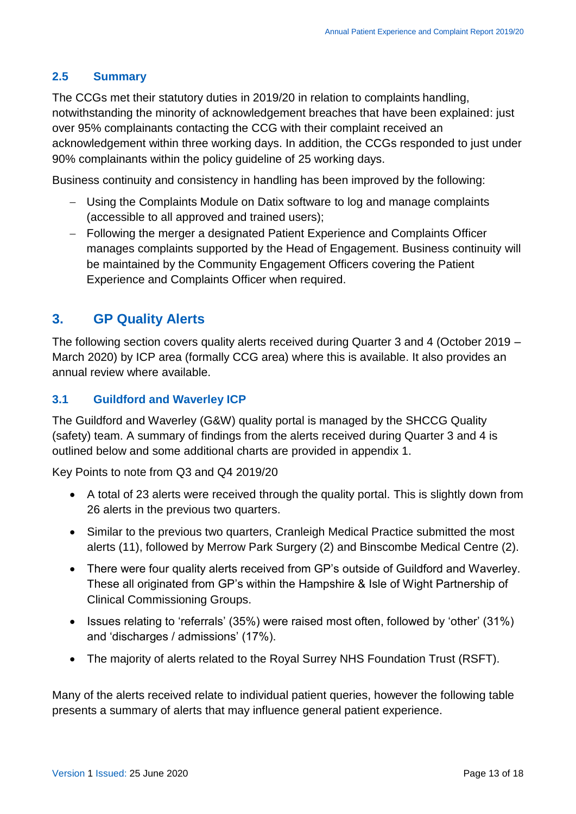### <span id="page-12-0"></span>**2.5 Summary**

The CCGs met their statutory duties in 2019/20 in relation to complaints handling, notwithstanding the minority of acknowledgement breaches that have been explained: just over 95% complainants contacting the CCG with their complaint received an acknowledgement within three working days. In addition, the CCGs responded to just under 90% complainants within the policy guideline of 25 working days.

Business continuity and consistency in handling has been improved by the following:

- Using the Complaints Module on Datix software to log and manage complaints (accessible to all approved and trained users);
- Following the merger a designated Patient Experience and Complaints Officer manages complaints supported by the Head of Engagement. Business continuity will be maintained by the Community Engagement Officers covering the Patient Experience and Complaints Officer when required.

# <span id="page-12-1"></span>**3. GP Quality Alerts**

The following section covers quality alerts received during Quarter 3 and 4 (October 2019 – March 2020) by ICP area (formally CCG area) where this is available. It also provides an annual review where available.

### <span id="page-12-2"></span>**3.1 Guildford and Waverley ICP**

The Guildford and Waverley (G&W) quality portal is managed by the SHCCG Quality (safety) team. A summary of findings from the alerts received during Quarter 3 and 4 is outlined below and some additional charts are provided in appendix 1.

Key Points to note from Q3 and Q4 2019/20

- A total of 23 alerts were received through the quality portal. This is slightly down from 26 alerts in the previous two quarters.
- Similar to the previous two quarters, Cranleigh Medical Practice submitted the most alerts (11), followed by Merrow Park Surgery (2) and Binscombe Medical Centre (2).
- There were four quality alerts received from GP's outside of Guildford and Waverley. These all originated from GP's within the Hampshire & Isle of Wight Partnership of Clinical Commissioning Groups.
- Issues relating to 'referrals' (35%) were raised most often, followed by 'other' (31%) and 'discharges / admissions' (17%).
- The majority of alerts related to the Royal Surrey NHS Foundation Trust (RSFT).

Many of the alerts received relate to individual patient queries, however the following table presents a summary of alerts that may influence general patient experience.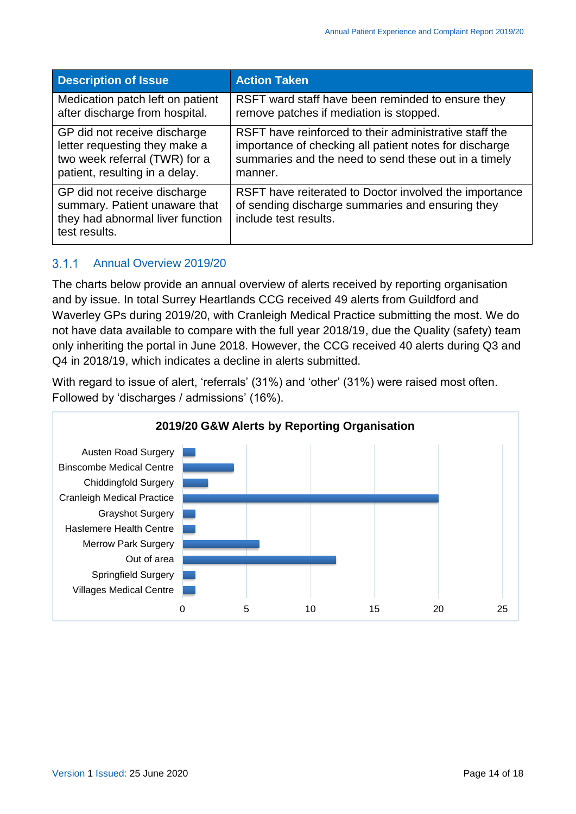| <b>Description of Issue</b>                                                                                        | <b>Action Taken</b>                                                                                                                 |
|--------------------------------------------------------------------------------------------------------------------|-------------------------------------------------------------------------------------------------------------------------------------|
| Medication patch left on patient                                                                                   | RSFT ward staff have been reminded to ensure they                                                                                   |
| after discharge from hospital.                                                                                     | remove patches if mediation is stopped.                                                                                             |
| GP did not receive discharge                                                                                       | RSFT have reinforced to their administrative staff the                                                                              |
| letter requesting they make a                                                                                      | importance of checking all patient notes for discharge                                                                              |
| two week referral (TWR) for a                                                                                      | summaries and the need to send these out in a timely                                                                                |
| patient, resulting in a delay.                                                                                     | manner.                                                                                                                             |
| GP did not receive discharge<br>summary. Patient unaware that<br>they had abnormal liver function<br>test results. | RSFT have reiterated to Doctor involved the importance<br>of sending discharge summaries and ensuring they<br>include test results. |

#### $3.1.1$ Annual Overview 2019/20

The charts below provide an annual overview of alerts received by reporting organisation and by issue. In total Surrey Heartlands CCG received 49 alerts from Guildford and Waverley GPs during 2019/20, with Cranleigh Medical Practice submitting the most. We do not have data available to compare with the full year 2018/19, due the Quality (safety) team only inheriting the portal in June 2018. However, the CCG received 40 alerts during Q3 and Q4 in 2018/19, which indicates a decline in alerts submitted.

With regard to issue of alert, 'referrals' (31%) and 'other' (31%) were raised most often. Followed by 'discharges / admissions' (16%).

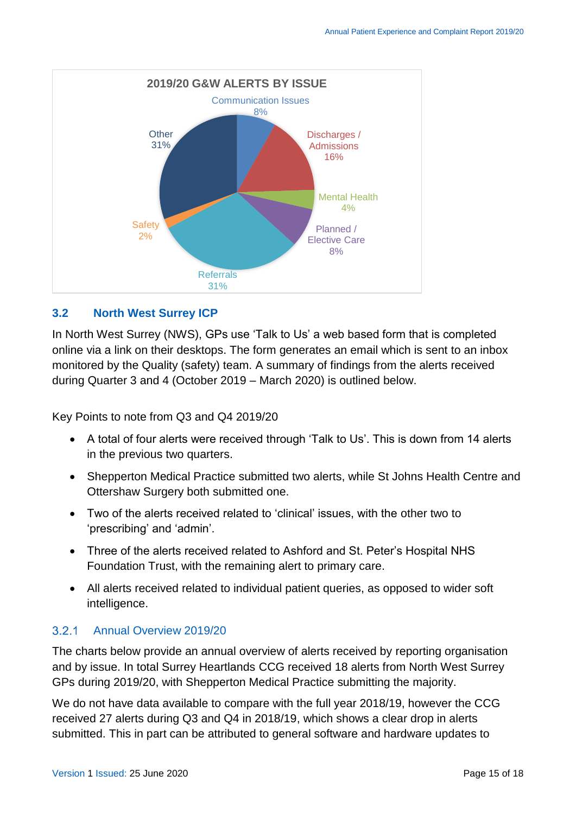

### <span id="page-14-0"></span>**3.2 North West Surrey ICP**

In North West Surrey (NWS), GPs use 'Talk to Us' a web based form that is completed online via a link on their desktops. The form generates an email which is sent to an inbox monitored by the Quality (safety) team. A summary of findings from the alerts received during Quarter 3 and 4 (October 2019 – March 2020) is outlined below.

Key Points to note from Q3 and Q4 2019/20

- A total of four alerts were received through 'Talk to Us'. This is down from 14 alerts in the previous two quarters.
- Shepperton Medical Practice submitted two alerts, while St Johns Health Centre and Ottershaw Surgery both submitted one.
- Two of the alerts received related to 'clinical' issues, with the other two to 'prescribing' and 'admin'.
- Three of the alerts received related to Ashford and St. Peter's Hospital NHS Foundation Trust, with the remaining alert to primary care.
- All alerts received related to individual patient queries, as opposed to wider soft intelligence.

#### $3.2.1$ Annual Overview 2019/20

The charts below provide an annual overview of alerts received by reporting organisation and by issue. In total Surrey Heartlands CCG received 18 alerts from North West Surrey GPs during 2019/20, with Shepperton Medical Practice submitting the majority.

We do not have data available to compare with the full year 2018/19, however the CCG received 27 alerts during Q3 and Q4 in 2018/19, which shows a clear drop in alerts submitted. This in part can be attributed to general software and hardware updates to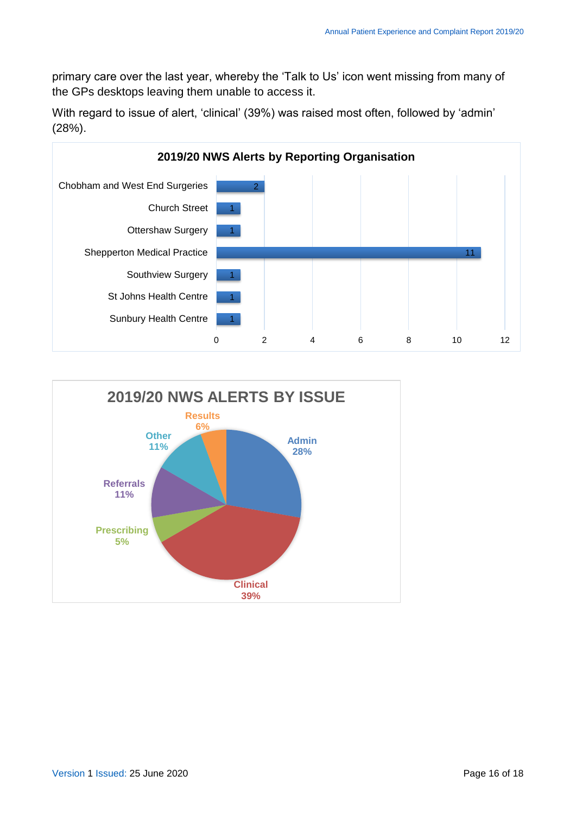primary care over the last year, whereby the 'Talk to Us' icon went missing from many of the GPs desktops leaving them unable to access it.

With regard to issue of alert, 'clinical' (39%) was raised most often, followed by 'admin' (28%).



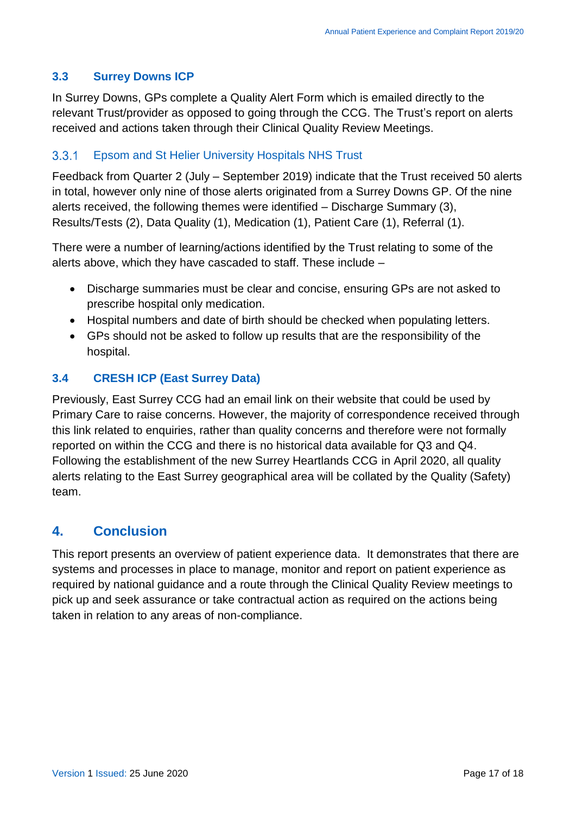### <span id="page-16-0"></span>**3.3 Surrey Downs ICP**

In Surrey Downs, GPs complete a Quality Alert Form which is emailed directly to the relevant Trust/provider as opposed to going through the CCG. The Trust's report on alerts received and actions taken through their Clinical Quality Review Meetings.

#### $3.3.1$ Epsom and St Helier University Hospitals NHS Trust

Feedback from Quarter 2 (July – September 2019) indicate that the Trust received 50 alerts in total, however only nine of those alerts originated from a Surrey Downs GP. Of the nine alerts received, the following themes were identified – Discharge Summary (3), Results/Tests (2), Data Quality (1), Medication (1), Patient Care (1), Referral (1).

There were a number of learning/actions identified by the Trust relating to some of the alerts above, which they have cascaded to staff. These include –

- Discharge summaries must be clear and concise, ensuring GPs are not asked to prescribe hospital only medication.
- Hospital numbers and date of birth should be checked when populating letters.
- GPs should not be asked to follow up results that are the responsibility of the hospital.

### <span id="page-16-1"></span>**3.4 CRESH ICP (East Surrey Data)**

Previously, East Surrey CCG had an email link on their website that could be used by Primary Care to raise concerns. However, the majority of correspondence received through this link related to enquiries, rather than quality concerns and therefore were not formally reported on within the CCG and there is no historical data available for Q3 and Q4. Following the establishment of the new Surrey Heartlands CCG in April 2020, all quality alerts relating to the East Surrey geographical area will be collated by the Quality (Safety) team.

# <span id="page-16-2"></span>**4. Conclusion**

This report presents an overview of patient experience data. It demonstrates that there are systems and processes in place to manage, monitor and report on patient experience as required by national guidance and a route through the Clinical Quality Review meetings to pick up and seek assurance or take contractual action as required on the actions being taken in relation to any areas of non-compliance.